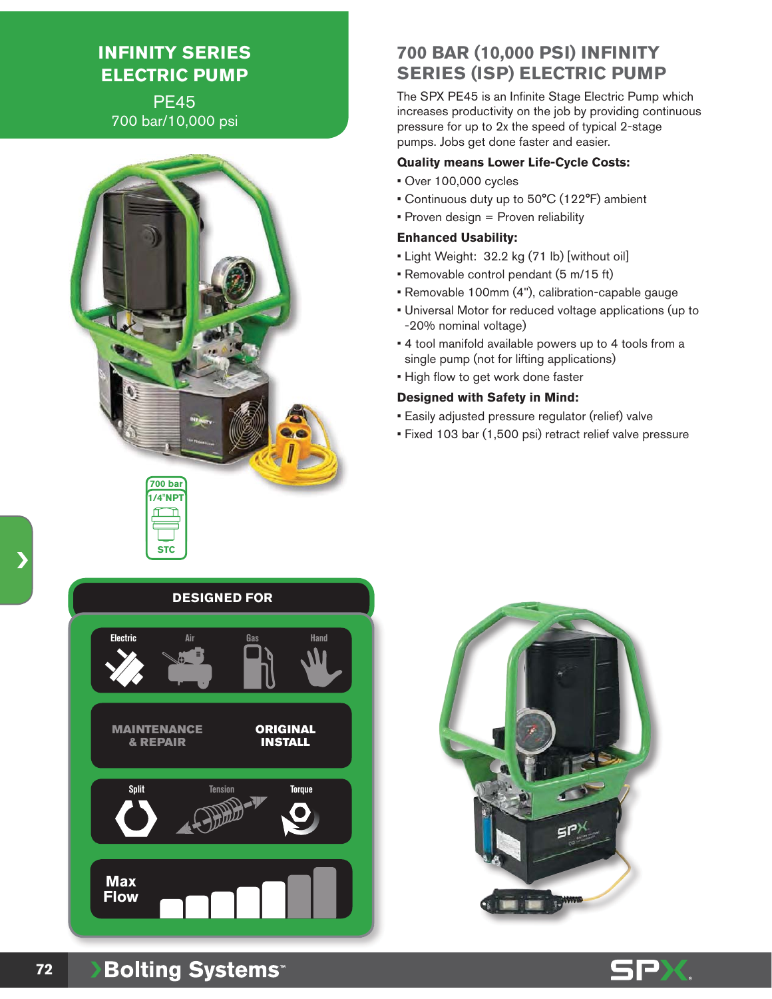# **INFINITY SERIES ELECTRIC PUMP**

PE45 700 bar/10,000 psi



## **700 BAR (10,000 PSI) INFINITY SERIES (ISP) ELECTRIC PUMP**

The SPX PE45 is an Infinite Stage Electric Pump which increases productivity on the job by providing continuous pressure for up to 2x the speed of typical 2-stage pumps. Jobs get done faster and easier.

#### **Quality means Lower Life-Cycle Costs:**

- Over 100,000 cycles
- Continuous duty up to 50°C (122°F) ambient
- Proven design = Proven reliability

#### **Enhanced Usability:**

- Light Weight: 32.2 kg (71 lb) [without oil]
- Removable control pendant (5 m/15 ft)
- Removable 100mm (4"), calibration-capable gauge
- Universal Motor for reduced voltage applications (up to -20% nominal voltage)
- 4 tool manifold available powers up to 4 tools from a single pump (not for lifting applications)
- High flow to get work done faster

#### **Designed with Safety in Mind:**

- Easily adjusted pressure regulator (relief) valve
- Fixed 103 bar (1,500 psi) retract relief valve pressure

### **DESIGNED FOR**